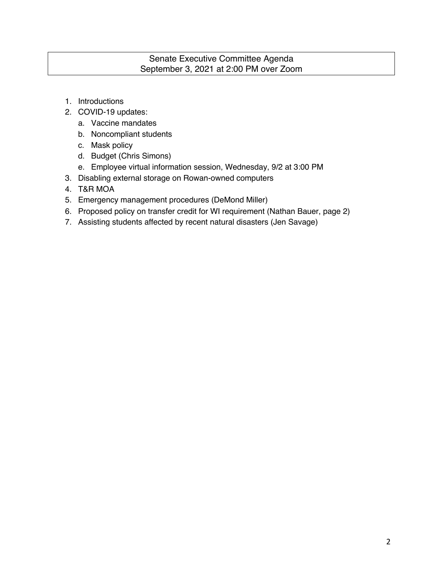## Senate Executive Committee Agenda September 3, 2021 at 2:00 PM over Zoom

- 1. Introductions
- 2. COVID-19 updates:
	- a. Vaccine mandates
	- b. Noncompliant students
	- c. Mask policy
	- d. Budget (Chris Simons)
	- e. Employee virtual information session, Wednesday, 9/2 at 3:00 PM
- 3. Disabling external storage on Rowan-owned computers
- 4. T&R MOA
- 5. Emergency management procedures (DeMond Miller)
- 6. Proposed policy on transfer credit for WI requirement (Nathan Bauer, page 2)
- 7. Assisting students affected by recent natural disasters (Jen Savage)